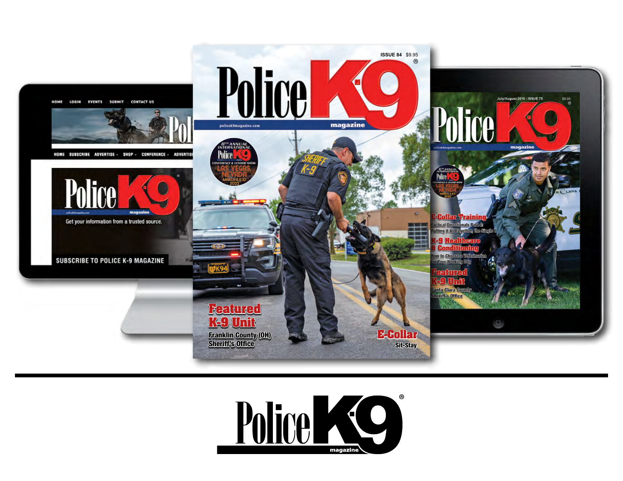

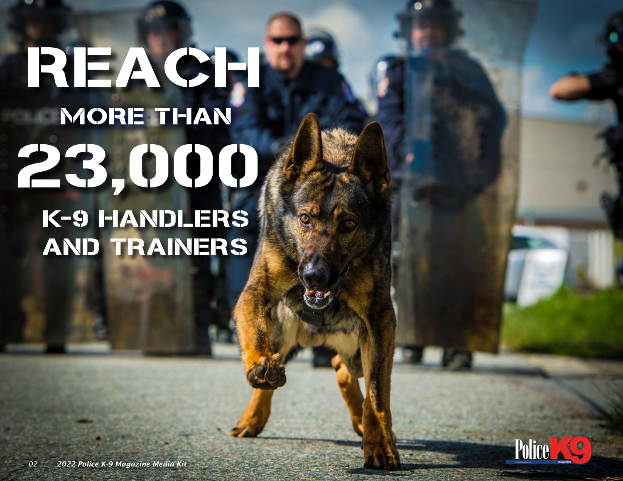# MORE THAN K-9 HANDLERS AND TRAINERS 23,000 REACH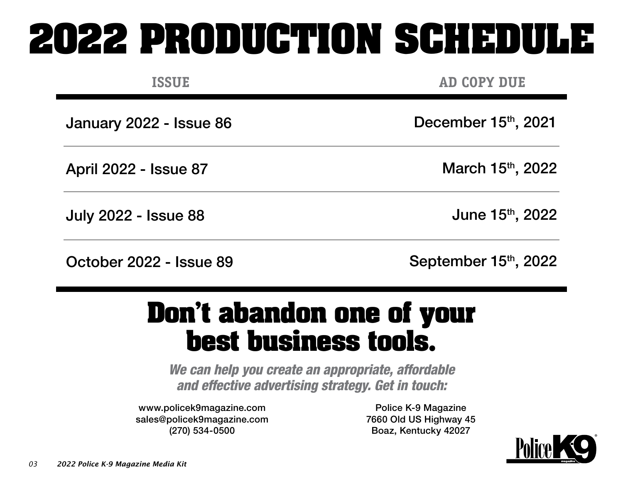# **2022 PRODUCTION SCHEDULE**

| <b>ISSUE</b>                   | AD COPY DUE         |  |  |
|--------------------------------|---------------------|--|--|
| <b>January 2022 - Issue 86</b> | December 15th, 2021 |  |  |
| <b>April 2022 - Issue 87</b>   | March 15th, 2022    |  |  |
| <b>July 2022 - Issue 88</b>    | June 15th, 2022     |  |  |

October 2022 - Issue 89

September 15th, 2022

## **Don't abandon one of your best business tools.**

*We can help you create an appropriate, affordable and effective advertising strategy. Get in touch:*

www.policek9magazine.com sales@policek9magazine.com (270) 534-0500

Police K-9 Magazine 7660 Old US Highway 45 Boaz, Kentucky 42027

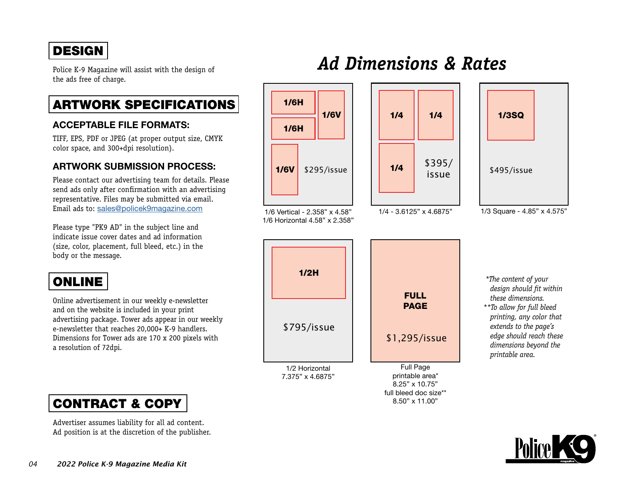#### **DESIGN**

Police K-9 Magazine will assist with the design of the ads free of charge.

#### ARTWORK SPECIFICATIONS

#### ACCEPTABLE FILE FORMATS:

TIFF, EPS, PDF or JPEG (at proper output size, CMYK color space, and 300+dpi resolution).

#### ARTWORK SUBMISSION PROCESS:

Please contact our advertising team for details. Please send ads only after confirmation with an advertising representative. Files may be submitted via email. Email ads to: sales[@policek9magazine.com](mailto:jason%40policek9magazine.com?subject=PK-9%20AD)

Please type "PK9 AD" in the subject line and indicate issue cover dates and ad information (size, color, placement, full bleed, etc.) in the body or the message.

### ONLINE

Online advertisement in our weekly e-newsletter and on the website is included in your print advertising package. Tower ads appear in our weekly e-newsletter that reaches 20,000+ K-9 handlers. Dimensions for Tower ads are 170 x 200 pixels with a resolution of 72dpi.

### CONTRACT & COPY

Advertiser assumes liability for all ad content. Ad position is at the discretion of the publisher.